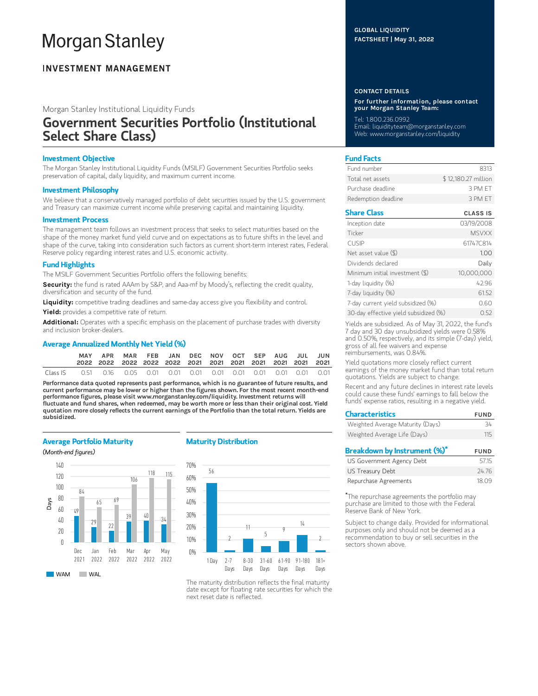# **Morgan Stanley**

### **INVESTMENT MANAGEMENT**

Morgan Stanley Institutional Liquidity Funds

## Government Securities Portfolio (Institutional Select Share Class)

#### Investment Objective

The Morgan Stanley Institutional Liquidity Funds (MSILF) Government Securities Portfolio seeks preservation of capital, daily liquidity, and maximum current income.

#### Investment Philosophy

We believe that a conservatively managed portfolio of debt securities issued by the U.S. government and Treasury can maximize current income while preserving capital and maintaining liquidity.

#### Investment Process

The management team follows an investment process that seeks to select maturities based on the shape of the money market fund yield curve and on expectations as to future shifts in the level and shape of the curve, taking into consideration such factors as current short-term interest rates, Federal Reserve policy regarding interest rates and U.S. economic activity.

#### Fund Highlights

The MSILF Government Securities Portfolio offers the following benefits:

Security: the fund is rated AAAm by S&P, and Aaa-mf by Moody's, reflecting the credit quality, diversification and security of the fund.

Liquidity: competitive trading deadlines and same-day access give you flexibility and control.

Yield: provides a competitive rate of return.

Additional: Operates with a specific emphasis on the placement of purchase trades with diversity and inclusion broker-dealers.

#### Average Annualized Monthly Net Yield (%)

|          | APR                                                                    |  | MAR FEB JAN DEC NOV OCT SEP AUG JUL JUN |  |  |  |  |
|----------|------------------------------------------------------------------------|--|-----------------------------------------|--|--|--|--|
| Class IS | 0.51  0.16  0.05  0.01  0.01  0.01  0.01  0.01  0.01  0.01  0.01  0.01 |  |                                         |  |  |  |  |

Performance data quoted represents past performance, which is no guarantee of future results, and current performance may be lower or higher than the figures shown. For the most recent month-end performance figures, please visit www.morganstanley.com/liquidity. Investment returns will fluctuate and fund shares, when redeemed, may be worth more or less than their original cost. Yield quotation more closely reflects the current earnings of the Portfolio than the total return. Yields are subsidized.

#### Average Portfolio Maturity

(Month-end figures)



#### Maturity Distribution



The maturity distribution reflects the final maturity date except for floating rate securities for which the next reset date is reflected.

#### GLOBAL LIQUIDITY FACTSHEET | May 31, 2022

#### CONTACT DETAILS

For further information, please contact your Morgan Stanley Team:

Tel: 1.800.236.0992 Email: liquidityteam@morganstanley.com Web: www.morganstanley.com/liquidity

#### Fund Facts

| Fund number         | 8313                |
|---------------------|---------------------|
| Total net assets    | \$12,180.27 million |
| Purchase deadline   | 3 PM FT             |
| Redemption deadline | 3 PM FT             |

#### Share Class CLASS IS

| Inception date                        | 03/19/2008   |
|---------------------------------------|--------------|
| Ticker                                | <b>MSVXX</b> |
| <b>CUSIP</b>                          | 61747C814    |
| Net asset value (\$)                  | 1.00         |
| Dividends declared                    | Daily        |
| Minimum initial investment (\$)       | 10,000,000   |
| 1-day liquidity (%)                   | 42.96        |
| 7-day liquidity (%)                   | 61.52        |
| 7-day current yield subsidized (%)    | 0.60         |
| 30-day effective yield subsidized (%) | 0.52         |

Yields are subsidized. As of May 31, 2022, the fund's 7 day and 30 day unsubsidized yields were 0.58% and 0.50%, respectively, and its simple (7-day) yield, gross of all fee waivers and expense reimbursements, was 0.84%.

Yield quotations more closely reflect current earnings of the money market fund than total return quotations. Yields are subject to change.

Recent and any future declines in interest rate levels could cause these funds' earnings to fall below the funds' expense ratios, resulting in a negative yield.

| <b>Characteristics</b>           | <b>FUND</b> |
|----------------------------------|-------------|
| Weighted Average Maturity (Days) | 34          |
| Weighted Average Life (Days)     | 115         |
| Breakdown by Instrument (%)*     | <b>FUND</b> |
| US Government Agency Debt        | 5715        |

| US Government Agency Debt | 57.15 |
|---------------------------|-------|
| US Treasury Debt          | 24.76 |
| Repurchase Agreements     | 18.09 |

The repurchase agreements the portfolio may \*purchase are limited to those with the Federal Reserve Bank of New York.

Subject to change daily. Provided for informational purposes only and should not be deemed as a recommendation to buy or sell securities in the sectors shown above.